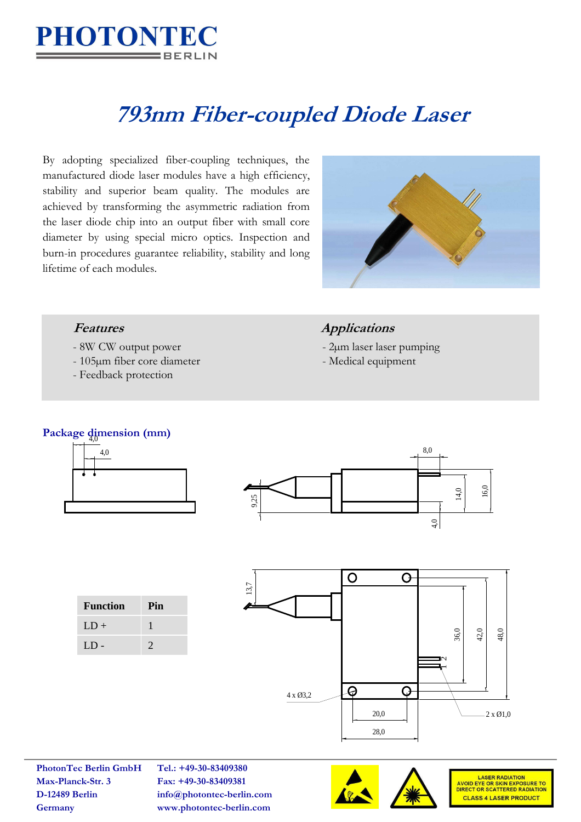

# **793nm Fiber-coupled Diode Laser**

By adopting specialized fiber-coupling techniques, the manufactured diode laser modules have a high efficiency, stability and superior beam quality. The modules are achieved by transforming the asymmetric radiation from the laser diode chip into an output fiber with small core diameter by using special micro optics. Inspection and burn-in procedures guarantee reliability, stability and long lifetime of each modules.



- 
- 105µm fiber core diameter Medical equipment
- Feedback protection

### **Features Applications**

- 8W CW output power 2μm laser laser pumping
	-

## Package dimension (mm)





| <b>Function</b> | Pin           |
|-----------------|---------------|
| $LD +$          |               |
| $LD -$          | $\mathcal{D}$ |



**PhotonTec Berlin GmbH Tel.: +49-30-83409380 Max-Planck-Str. 3 Fax: +49-30-83409381**

**D-12489 Berlin info@photontec-berlin.com Germany www.photontec-berlin.com**





LASER RADIATION<br>AVOID EYE OR SKIN EXPOSURE TO<br>DIRECT OR SCATTERED RADIATION **CLASS 4 LASER PRODUCT**